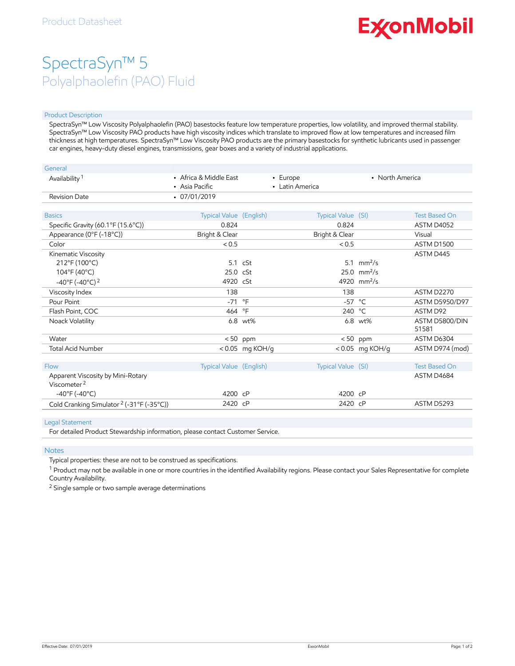# **ExconMobil**

## SpectraSyn™ 5 Polyalphaolefin (PAO) Fluid

#### Product Description

SpectraSyn™ Low Viscosity Polyalphaolefin (PAO) basestocks feature low temperature properties, low volatility, and improved thermal stability. SpectraSyn™ Low Viscosity PAO products have high viscosity indices which translate to improved flow at low temperatures and increased film thickness at high temperatures. SpectraSyn™ Low Viscosity PAO products are the primary basestocks for synthetic lubricants used in passenger car engines, heavy-duty diesel engines, transmissions, gear boxes and a variety of industrial applications.

| General                                                      |                                          |                   |                             |                           |                         |
|--------------------------------------------------------------|------------------------------------------|-------------------|-----------------------------|---------------------------|-------------------------|
| Availability <sup>1</sup>                                    | • Africa & Middle East<br>• Asia Pacific |                   | - Europe<br>• Latin America | • North America           |                         |
| Revision Date                                                | $-07/01/2019$                            |                   |                             |                           |                         |
|                                                              |                                          |                   |                             |                           |                         |
| <b>Basics</b>                                                | Typical Value (English)                  |                   | Typical Value (SI)          |                           | <b>Test Based On</b>    |
| Specific Gravity (60.1°F (15.6°C))                           | 0.824                                    |                   | 0.824                       |                           | ASTM D4052              |
| Appearance (0°F (-18°C))                                     | Bright & Clear                           |                   | Bright & Clear              |                           | Visual                  |
| Color                                                        | < 0.5                                    |                   | < 0.5                       |                           | ASTM D1500              |
| Kinematic Viscosity                                          |                                          |                   |                             |                           | ASTM D445               |
| 212°F (100°C)                                                |                                          | $5.1 \cSt$        |                             | 5.1 $mm^2/s$              |                         |
| 104°F (40°C)                                                 | 25.0 cSt                                 |                   |                             | $25.0$ mm <sup>2</sup> /s |                         |
| $-40^{\circ}$ F ( $-40^{\circ}$ C) <sup>2</sup>              | 4920 cSt                                 |                   |                             | 4920 mm <sup>2</sup> /s   |                         |
| Viscosity Index                                              | 138                                      |                   | 138                         |                           | <b>ASTM D2270</b>       |
| Pour Point                                                   | $-71$                                    | $^{\circ}$ F      | $-57$ °C                    |                           | <b>ASTM D5950/D97</b>   |
| Flash Point, COC                                             | 464 °F                                   |                   | 240 °C                      |                           | ASTM D92                |
| Noack Volatility                                             |                                          | 6.8 wt%           |                             | 6.8 wt%                   | ASTM D5800/DIN<br>51581 |
| Water                                                        |                                          | $< 50$ ppm        |                             | $< 50$ ppm                | ASTM D6304              |
| <b>Total Acid Number</b>                                     |                                          | $< 0.05$ mg KOH/g |                             | < 0.05 mg KOH/g           | ASTM D974 (mod)         |
|                                                              |                                          |                   |                             |                           |                         |
| Flow                                                         | Typical Value (English)                  |                   | Typical Value (SI)          |                           | <b>Test Based On</b>    |
| Apparent Viscosity by Mini-Rotary<br>Viscometer <sup>2</sup> |                                          |                   |                             |                           | ASTM D4684              |
| $-40^{\circ}$ F (-40°C)                                      | 4200 cP                                  |                   | 4200 cP                     |                           |                         |
| Cold Cranking Simulator <sup>2</sup> (-31°F (-35°C))         | 2420 cP                                  |                   | 2420 cP                     |                           | ASTM D5293              |

#### Legal Statement

For detailed Product Stewardship information, please contact Customer Service.

#### **Notes**

Typical properties: these are not to be construed as specifications.

 $^1$  Product may not be available in one or more countries in the identified Availability regions. Please contact your Sales Representative for complete Country Availability.

<sup>2</sup> Single sample or two sample average determinations